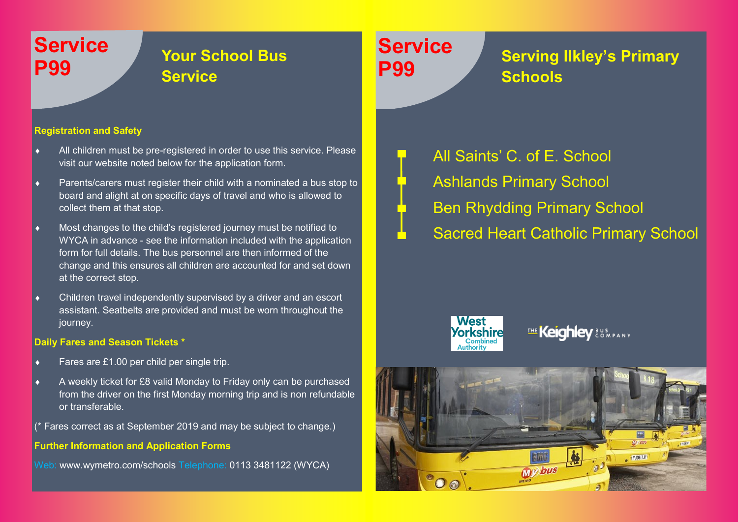## **Service**

## **P99 Your School Bus Service**

#### **Registration and Safety**

- All children must be pre-registered in order to use this service. Please visit our website noted below for the application form.
- Parents/carers must register their child with a nominated a bus stop to board and alight at on specific days of travel and who is allowed to collect them at that stop.
- Most changes to the child's registered journey must be notified to WYCA in advance - see the information included with the application form for full details. The bus personnel are then informed of the change and this ensures all children are accounted for and set down at the correct stop.
- Children travel independently supervised by a driver and an escort assistant. Seatbelts are provided and must be worn throughout the journey.

#### **Daily Fares and Season Tickets \***

- Fares are £1.00 per child per single trip.
- A weekly ticket for £8 valid Monday to Friday only can be purchased from the driver on the first Monday morning trip and is non refundable or transferable.
- (\* Fares correct as at September 2019 and may be subject to change.)

#### **Further Information and Application Forms**

Web: www.wymetro.com/schools Telephone: 0113 3481122 (WYCA)

# **Service**

## **P99 Serving Ilkley's Primary Schools**

All Saints' C. of E. School Ashlands Primary School Ben Rhydding Primary School Sacred Heart Catholic Primary School



### THE Keighley & S.MPANY